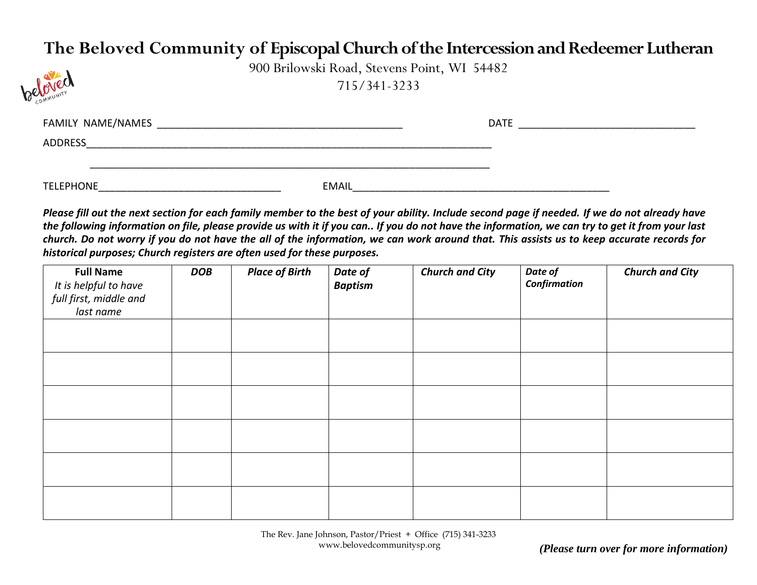## **The Beloved Community of Episcopal Church of the Intercession and Redeemer Lutheran**



900 Brilowski Road, Stevens Point, WI 54482 715/341-3233

| FAMILY NAME/NAMES |              | <b>DATE</b> |  |
|-------------------|--------------|-------------|--|
| ADDRESS           |              |             |  |
| <b>TELEPHONE</b>  | <b>EMAIL</b> |             |  |

*Please fill out the next section for each family member to the best of your ability. Include second page if needed. If we do not already have the following information on file, please provide us with it if you can.. If you do not have the information, we can try to get it from your last church. Do not worry if you do not have the all of the information, we can work around that. This assists us to keep accurate records for historical purposes; Church registers are often used for these purposes.*

| <b>Full Name</b><br>It is helpful to have | <b>DOB</b> | <b>Place of Birth</b> | Date of<br><b>Baptism</b> | <b>Church and City</b> | Date of<br><b>Confirmation</b> | <b>Church and City</b> |
|-------------------------------------------|------------|-----------------------|---------------------------|------------------------|--------------------------------|------------------------|
| full first, middle and                    |            |                       |                           |                        |                                |                        |
| last name                                 |            |                       |                           |                        |                                |                        |
|                                           |            |                       |                           |                        |                                |                        |
|                                           |            |                       |                           |                        |                                |                        |
|                                           |            |                       |                           |                        |                                |                        |
|                                           |            |                       |                           |                        |                                |                        |
|                                           |            |                       |                           |                        |                                |                        |
|                                           |            |                       |                           |                        |                                |                        |
|                                           |            |                       |                           |                        |                                |                        |
|                                           |            |                       |                           |                        |                                |                        |
|                                           |            |                       |                           |                        |                                |                        |
|                                           |            |                       |                           |                        |                                |                        |
|                                           |            |                       |                           |                        |                                |                        |